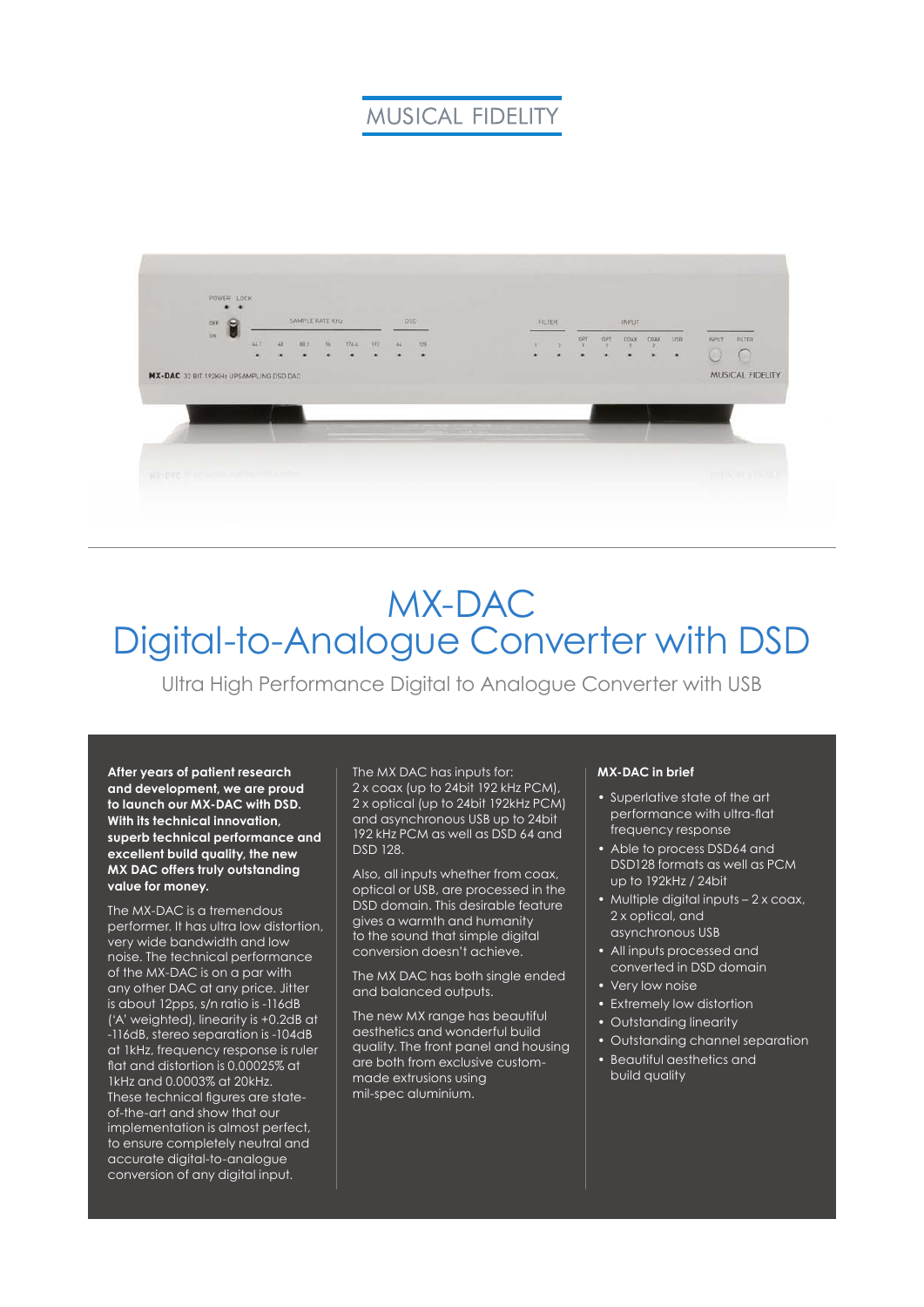## **MUSICAL FIDELITY**



# MX-DAC Digital-to-Analogue Converter with DSD

Ultra High Performance Digital to Analogue Converter with USB

**After years of patient research and development, we are proud to launch our MX-DAC with DSD. With its technical innovation, superb technical performance and excellent build quality, the new MX DAC offers truly outstanding value for money.**

The MX-DAC is a tremendous performer. It has ultra low distortion, very wide bandwidth and low noise. The technical performance of the MX-DAC is on a par with any other DAC at any price. Jitter is about 12pps, s/n ratio is -116dB ('A' weighted), linearity is +0.2dB at -116dB, stereo separation is -104dB at 1kHz, frequency response is ruler flat and distortion is 0.00025% at 1kHz and 0.0003% at 20kHz. These technical figures are stateof-the-art and show that our implementation is almost perfect, to ensure completely neutral and accurate digital-to-analogue conversion of any digital input.

The MX DAC has inputs for: 2 x coax (up to 24bit 192 kHz PCM), 2 x optical (up to 24bit 192kHz PCM) and asynchronous USB up to 24bit 192 kHz PCM as well as DSD 64 and DSD 128.

Also, all inputs whether from coax, optical or USB, are processed in the DSD domain. This desirable feature gives a warmth and humanity to the sound that simple digital conversion doesn't achieve.

The MX DAC has both single ended and balanced outputs.

The new MX range has beautiful aesthetics and wonderful build quality. The front panel and housing are both from exclusive custommade extrusions using mil-spec aluminium.

#### **MX-DAC in brief**

- Superlative state of the art performance with ultra-flat frequency response
- Able to process DSD64 and DSD128 formats as well as PCM up to 192kHz / 24bit
- Multiple digital inputs 2 x coax, 2 x optical, and asynchronous USB
- All inputs processed and converted in DSD domain
- Very low noise
- Extremely low distortion
- Outstanding linearity
- Outstanding channel separation
- Beautiful aesthetics and build quality